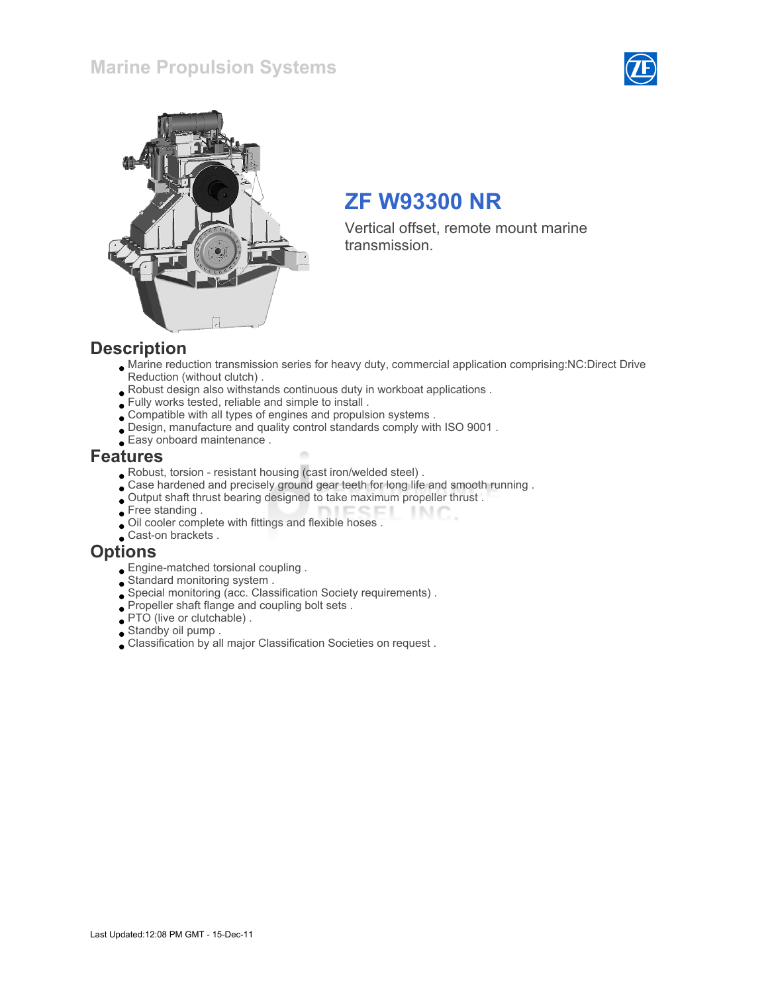### Marine Propulsion Systems





# ZF W93300 NR

Vertical offset, remote mount marine transmission.

#### **Description**

- Marine reduction transmission series for heavy duty, commercial application comprising:NC:Direct Drive Reduction (without clutch) .
- Robust design also withstands continuous duty in workboat applications .
- Fully works tested, reliable and simple to install .
- Compatible with all types of engines and propulsion systems .
- Design, manufacture and quality control standards comply with ISO 9001 .
- Easy onboard maintenance .

#### Features

- Robust, torsion resistant housing (cast iron/welded steel) .
- Case hardened and precisely ground gear teeth for long life and smooth running .
- Output shaft thrust bearing designed to take maximum propeller thrust .  $I \sqsubseteq C$  $INC$
- Free standing .
- Oil cooler complete with fittings and flexible hoses .
- Cast-on brackets.

#### **Options**

- Engine-matched torsional coupling .
- Standard monitoring system .
- Special monitoring (acc. Classification Society requirements) .
- Propeller shaft flange and coupling bolt sets .
- PTO (live or clutchable) .
- Standby oil pump .
- Classification by all major Classification Societies on request .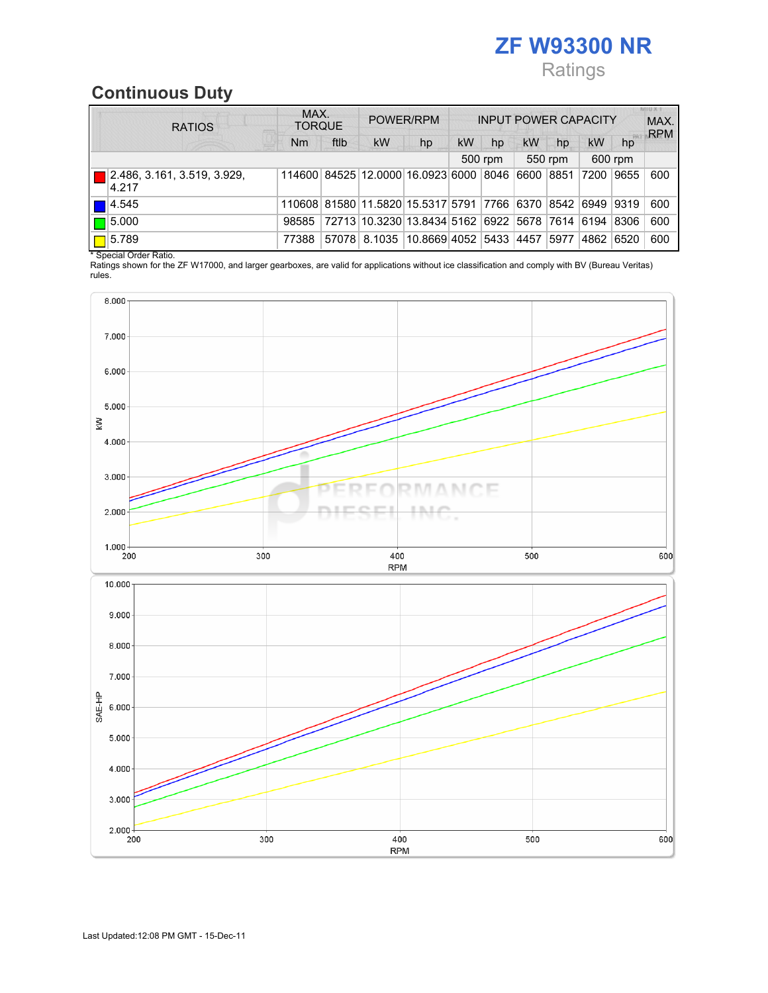# ZF W93300 NR Ratings

# Continuous Duty

|  | <b>RATIOS</b>                        | MAX.<br><b>TORQUE</b> |       | POWER/RPM |                                                            | <b>INPUT POWER CAPACITY</b> |         |           |           |           | <b>MINES</b><br>MAX.<br><b>RPM</b> |     |
|--|--------------------------------------|-----------------------|-------|-----------|------------------------------------------------------------|-----------------------------|---------|-----------|-----------|-----------|------------------------------------|-----|
|  |                                      | Nm                    | ftlb  | <b>kW</b> | hp                                                         | <b>kW</b>                   | hp      | <b>kW</b> | hp        | <b>kW</b> | hp                                 |     |
|  |                                      |                       |       |           |                                                            |                             | 500 rpm |           | 550 rpm   |           | 600 rpm                            |     |
|  | 2.486, 3.161, 3.519, 3.929,<br>4.217 |                       |       |           | 114600 84525 12.0000 16.0923 6000 8046                     |                             |         |           | 6600 8851 | 7200      | 9655                               | 600 |
|  | 4.545                                |                       |       |           | 110608 81580 11.5820 15.5317 5791 7766 6370 8542 6949 9319 |                             |         |           |           |           |                                    | 600 |
|  | $\blacksquare$ 5.000                 | 98585                 |       |           | 72713 10.3230 13.8434 5162 6922 5678 7614 6194             |                             |         |           |           |           | 8306                               | 600 |
|  | 5.789                                | 77388                 | 57078 |           | 8.1035 10.8669 4052 5433 4457                              |                             |         |           | 5977      | 4862      | 6520                               | 600 |

\* Special Order Ratio.

Ratings shown for the ZF W17000, and larger gearboxes, are valid for applications without ice classification and comply with BV (Bureau Veritas) rules.

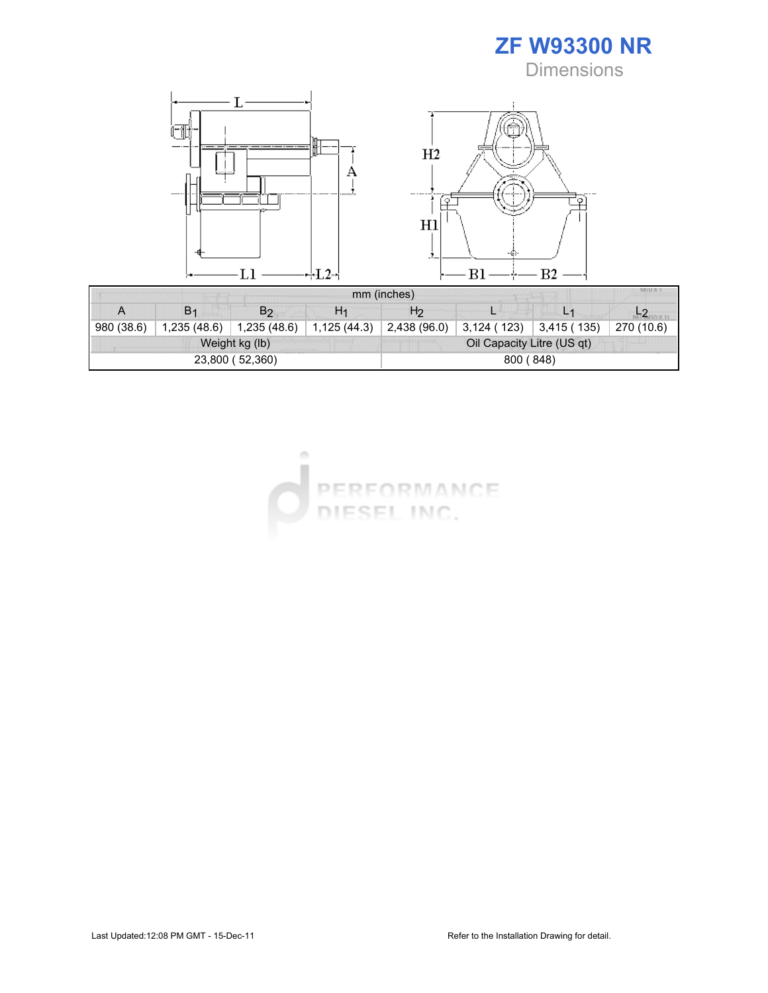



| MIU X. T<br>mm (inches) |                |                 |                |                            |            |            |            |  |  |  |  |
|-------------------------|----------------|-----------------|----------------|----------------------------|------------|------------|------------|--|--|--|--|
| A                       | B <sub>1</sub> | B <sub>2</sub>  | H <sub>1</sub> | H <sub>2</sub>             |            |            |            |  |  |  |  |
| 980 (38.6)              | 1,235(48.6)    | 1,235 (48.6)    | 1,125(44.3)    | 2,438 (96.0)               | 3,124(123) | 3,415(135) | 270 (10.6) |  |  |  |  |
|                         |                | Weight kg (lb)  |                | Oil Capacity Litre (US qt) |            |            |            |  |  |  |  |
|                         |                | 23,800 (52,360) |                | 800 (848)                  |            |            |            |  |  |  |  |

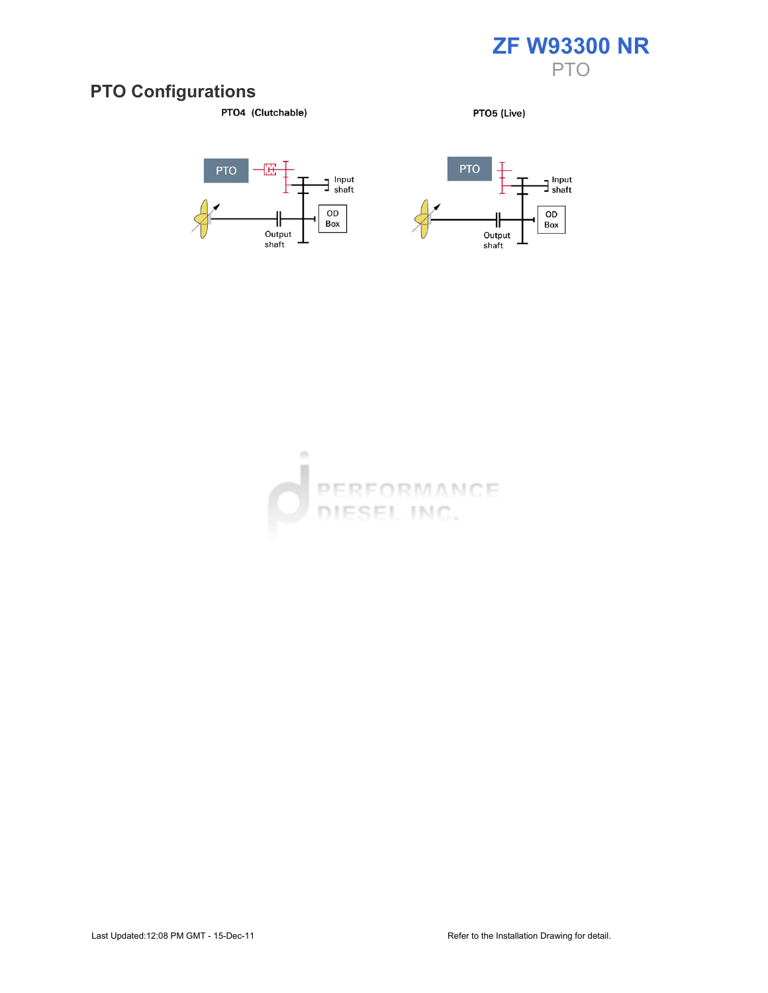

#### PTO Configurations

PTO4 (Clutchable)

PTO5 (Live)